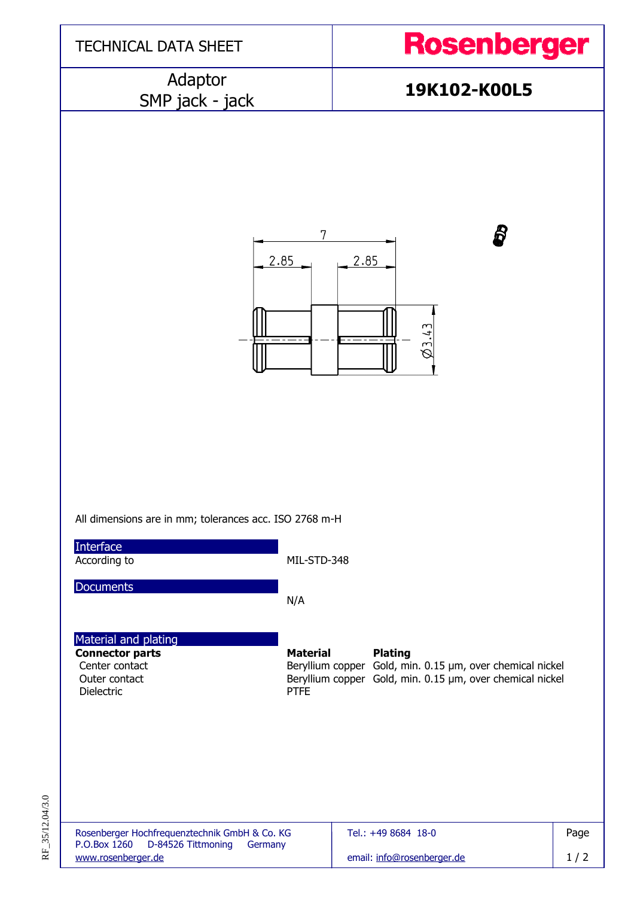